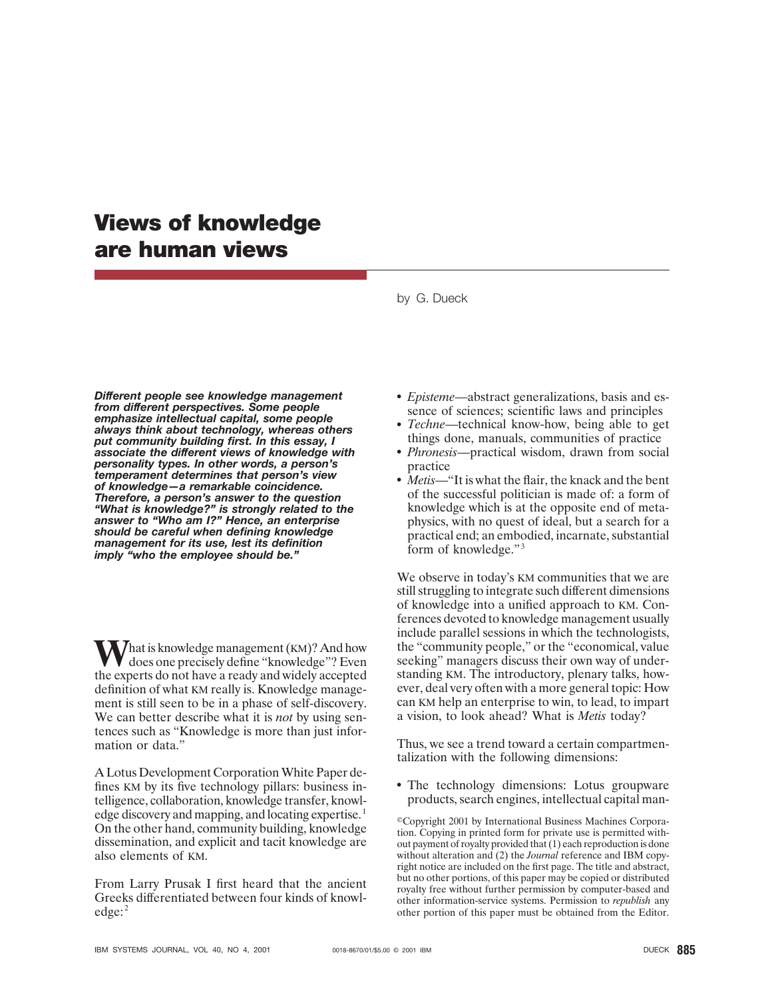## **Views of knowledge are human views**

by G. Dueck

*Different people see knowledge management from different perspectives. Some people emphasize intellectual capital, some people always think about technology, whereas others put community building first. In this essay, I associate the different views of knowledge with personality types. In other words, a person's temperament determines that person's view of knowledge—a remarkable coincidence. Therefore, a person's answer to the question "What is knowledge?" is strongly related to the answer to "Who am I?" Hence, an enterprise should be careful when defining knowledge management for its use, lest its definition imply "who the employee should be."*

What is knowledge management (KM)? And how does one precisely define "knowledge"? Even the experts do not have a ready and widely accepted definition of what KM really is. Knowledge management is still seen to be in a phase of self-discovery. We can better describe what it is *not* by using sentences such as "Knowledge is more than just information or data."

A Lotus Development Corporation White Paper defines KM by its five technology pillars: business intelligence, collaboration, knowledge transfer, knowledge discovery and mapping, and locating expertise.<sup>1</sup> On the other hand, community building, knowledge dissemination, and explicit and tacit knowledge are also elements of KM.

From Larry Prusak I first heard that the ancient Greeks differentiated between four kinds of knowl $edge$ :<sup>2</sup>

- *Episteme*—abstract generalizations, basis and essence of sciences; scientific laws and principles
- *Techne*—technical know-how, being able to get things done, manuals, communities of practice
- *Phronesis*—practical wisdom, drawn from social practice
- *Metis*—"It is what the flair, the knack and the bent of the successful politician is made of: a form of knowledge which is at the opposite end of metaphysics, with no quest of ideal, but a search for a practical end; an embodied, incarnate, substantial form of knowledge."<sup>3</sup>

We observe in today's KM communities that we are still struggling to integrate such different dimensions of knowledge into a unified approach to KM. Conferences devoted to knowledge management usually include parallel sessions in which the technologists, the "community people," or the "economical, value seeking" managers discuss their own way of understanding KM. The introductory, plenary talks, however, deal very often with a more general topic: How can KM help an enterprise to win, to lead, to impart a vision, to look ahead? What is *Metis* today?

Thus, we see a trend toward a certain compartmentalization with the following dimensions:

• The technology dimensions: Lotus groupware products, search engines, intellectual capital man-

©Copyright 2001 by International Business Machines Corporation. Copying in printed form for private use is permitted without payment of royalty provided that (1) each reproduction is done without alteration and (2) the *Journal* reference and IBM copyright notice are included on the first page. The title and abstract, but no other portions, of this paper may be copied or distributed royalty free without further permission by computer-based and other information-service systems. Permission to *republish* any other portion of this paper must be obtained from the Editor.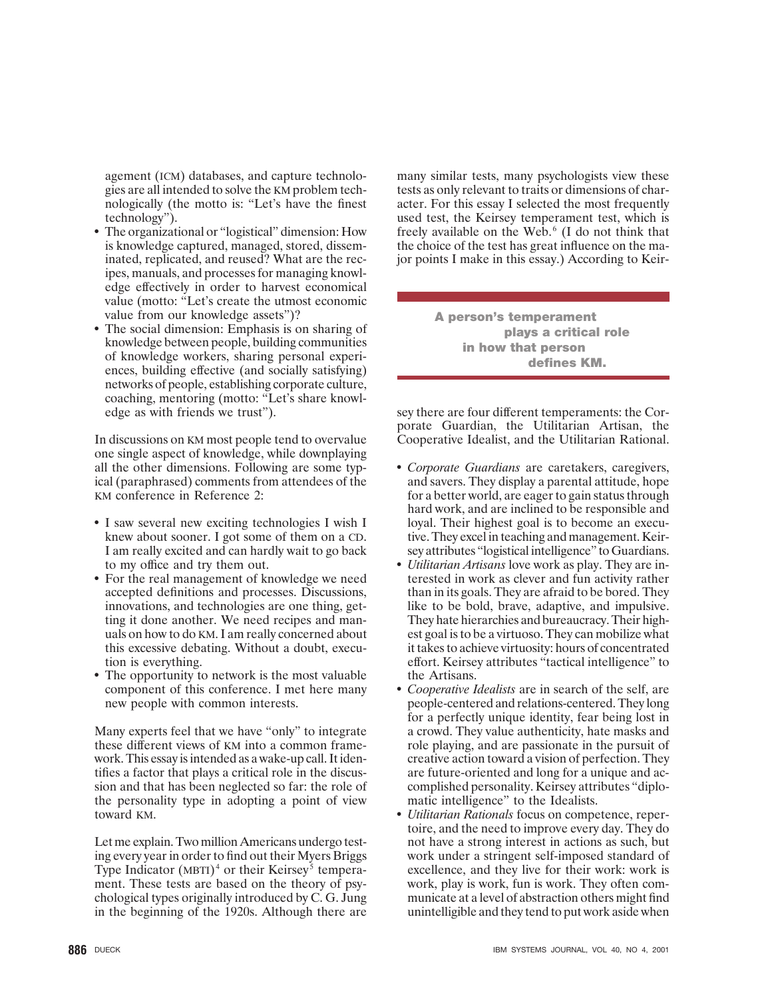agement (ICM) databases, and capture technologies are all intended to solve the KM problem technologically (the motto is: "Let's have the finest technology").

- The organizational or "logistical" dimension: How is knowledge captured, managed, stored, disseminated, replicated, and reused? What are the recipes, manuals, and processes for managing knowledge effectively in order to harvest economical value (motto: "Let's create the utmost economic value from our knowledge assets")?
- The social dimension: Emphasis is on sharing of knowledge between people, building communities of knowledge workers, sharing personal experiences, building effective (and socially satisfying) networks of people, establishing corporate culture, coaching, mentoring (motto: "Let's share knowledge as with friends we trust").

In discussions on KM most people tend to overvalue one single aspect of knowledge, while downplaying all the other dimensions. Following are some typical (paraphrased) comments from attendees of the KM conference in Reference 2:

- I saw several new exciting technologies I wish I knew about sooner. I got some of them on a CD. I am really excited and can hardly wait to go back to my office and try them out.
- For the real management of knowledge we need accepted definitions and processes. Discussions, innovations, and technologies are one thing, getting it done another. We need recipes and manuals on how to do KM. I am really concerned about this excessive debating. Without a doubt, execution is everything.
- The opportunity to network is the most valuable component of this conference. I met here many new people with common interests.

Many experts feel that we have "only" to integrate these different views of KM into a common framework. This essay is intended as a wake-up call. It identifies a factor that plays a critical role in the discussion and that has been neglected so far: the role of the personality type in adopting a point of view toward KM.

Let me explain. Two million Americans undergo testing every year in order to find out their Myers Briggs Type Indicator  $(MBTI)^4$  or their Keirsey<sup>5</sup> temperament. These tests are based on the theory of psychological types originally introduced by C. G. Jung in the beginning of the 1920s. Although there are

many similar tests, many psychologists view these tests as only relevant to traits or dimensions of character. For this essay I selected the most frequently used test, the Keirsey temperament test, which is freely available on the Web. $<sup>6</sup>$  (I do not think that</sup> the choice of the test has great influence on the major points I make in this essay.) According to Keir-

> **A person's temperament plays a critical role in how that person defines KM.**

sey there are four different temperaments: the Corporate Guardian, the Utilitarian Artisan, the Cooperative Idealist, and the Utilitarian Rational.

- *Corporate Guardians* are caretakers, caregivers, and savers. They display a parental attitude, hope for a better world, are eager to gain status through hard work, and are inclined to be responsible and loyal. Their highest goal is to become an executive. They excel in teaching and management. Keirsey attributes "logistical intelligence" to Guardians.
- *Utilitarian Artisans* love work as play. They are interested in work as clever and fun activity rather than in its goals. They are afraid to be bored. They like to be bold, brave, adaptive, and impulsive. They hate hierarchies and bureaucracy. Their highest goal is to be a virtuoso. They can mobilize what it takes to achieve virtuosity: hours of concentrated effort. Keirsey attributes "tactical intelligence" to the Artisans.
- *Cooperative Idealists* are in search of the self, are people-centered and relations-centered. They long for a perfectly unique identity, fear being lost in a crowd. They value authenticity, hate masks and role playing, and are passionate in the pursuit of creative action toward a vision of perfection. They are future-oriented and long for a unique and accomplished personality. Keirsey attributes "diplomatic intelligence" to the Idealists.
- *Utilitarian Rationals* focus on competence, repertoire, and the need to improve every day. They do not have a strong interest in actions as such, but work under a stringent self-imposed standard of excellence, and they live for their work: work is work, play is work, fun is work. They often communicate at a level of abstraction others might find unintelligible and they tend to put work aside when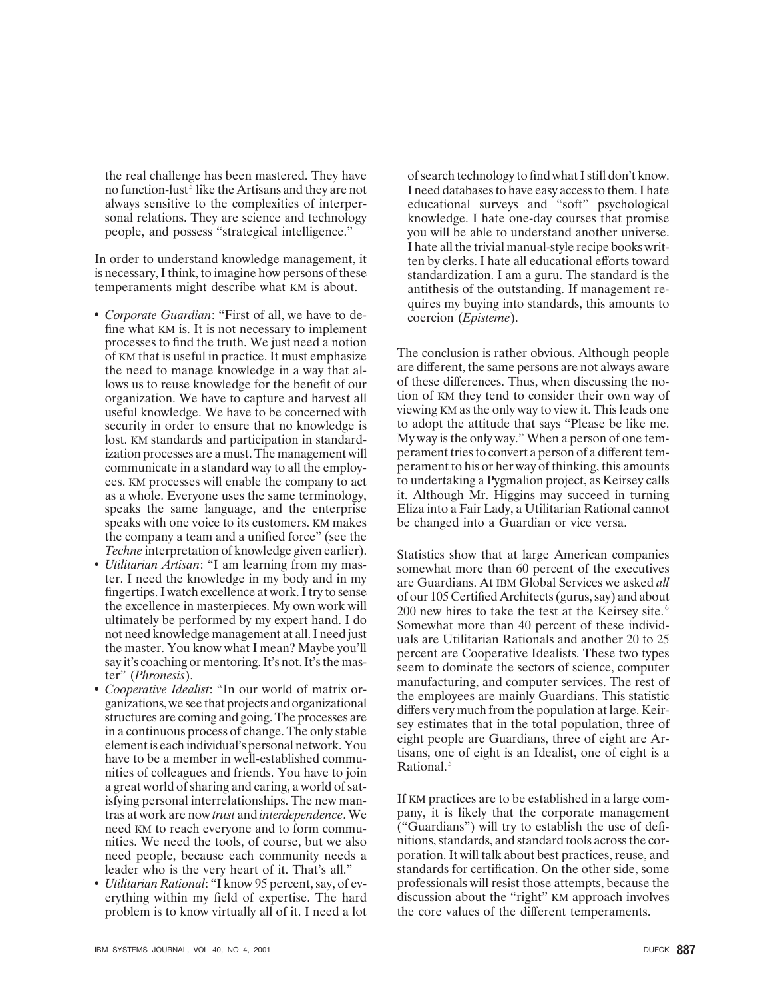the real challenge has been mastered. They have no function-lust<sup> $\bar{5}$ </sup> like the Artisans and they are not always sensitive to the complexities of interpersonal relations. They are science and technology people, and possess "strategical intelligence."

In order to understand knowledge management, it is necessary, I think, to imagine how persons of these temperaments might describe what KM is about.

- *Corporate Guardian*: "First of all, we have to define what KM is. It is not necessary to implement processes to find the truth. We just need a notion of KM that is useful in practice. It must emphasize the need to manage knowledge in a way that allows us to reuse knowledge for the benefit of our organization. We have to capture and harvest all useful knowledge. We have to be concerned with security in order to ensure that no knowledge is lost. KM standards and participation in standardization processes are a must. The management will communicate in a standard way to all the employees. KM processes will enable the company to act as a whole. Everyone uses the same terminology, speaks the same language, and the enterprise speaks with one voice to its customers. KM makes the company a team and a unified force" (see the *Techne* interpretation of knowledge given earlier).
- *Utilitarian Artisan*: "I am learning from my master. I need the knowledge in my body and in my fingertips. I watch excellence at work. I try to sense the excellence in masterpieces. My own work will ultimately be performed by my expert hand. I do not need knowledge management at all. I need just the master. You know what I mean? Maybe you'll say it's coaching or mentoring. It's not. It's the master" (*Phronesis*).
- *Cooperative Idealist*: "In our world of matrix organizations, we see that projects and organizational structures are coming and going. The processes are in a continuous process of change. The only stable element is each individual's personal network. You have to be a member in well-established communities of colleagues and friends. You have to join a great world of sharing and caring, a world of satisfying personal interrelationships. The new mantras at work are now *trust* and *interdependence*. We need KM to reach everyone and to form communities. We need the tools, of course, but we also need people, because each community needs a leader who is the very heart of it. That's all."
- *Utilitarian Rational*: "I know 95 percent, say, of everything within my field of expertise. The hard problem is to know virtually all of it. I need a lot

of search technology to find what I still don't know. I need databases to have easy access to them. I hate educational surveys and "soft" psychological knowledge. I hate one-day courses that promise you will be able to understand another universe. I hate all the trivial manual-style recipe books written by clerks. I hate all educational efforts toward standardization. I am a guru. The standard is the antithesis of the outstanding. If management requires my buying into standards, this amounts to coercion (*Episteme*).

The conclusion is rather obvious. Although people are different, the same persons are not always aware of these differences. Thus, when discussing the notion of KM they tend to consider their own way of viewing KM as the only way to view it. This leads one to adopt the attitude that says "Please be like me. My way is the only way." When a person of one temperament tries to convert a person of a different temperament to his or her way of thinking, this amounts to undertaking a Pygmalion project, as Keirsey calls it. Although Mr. Higgins may succeed in turning Eliza into a Fair Lady, a Utilitarian Rational cannot be changed into a Guardian or vice versa.

Statistics show that at large American companies somewhat more than 60 percent of the executives are Guardians. At IBM Global Services we asked *all* of our 105 Certified Architects (gurus, say) and about 200 new hires to take the test at the Keirsey site. <sup>6</sup> Somewhat more than 40 percent of these individuals are Utilitarian Rationals and another 20 to 25 percent are Cooperative Idealists. These two types seem to dominate the sectors of science, computer manufacturing, and computer services. The rest of the employees are mainly Guardians. This statistic differs very much from the population at large. Keirsey estimates that in the total population, three of eight people are Guardians, three of eight are Artisans, one of eight is an Idealist, one of eight is a Rational.<sup>5</sup>

If KM practices are to be established in a large company, it is likely that the corporate management ("Guardians") will try to establish the use of definitions, standards, and standard tools across the corporation. It will talk about best practices, reuse, and standards for certification. On the other side, some professionals will resist those attempts, because the discussion about the "right" KM approach involves the core values of the different temperaments.